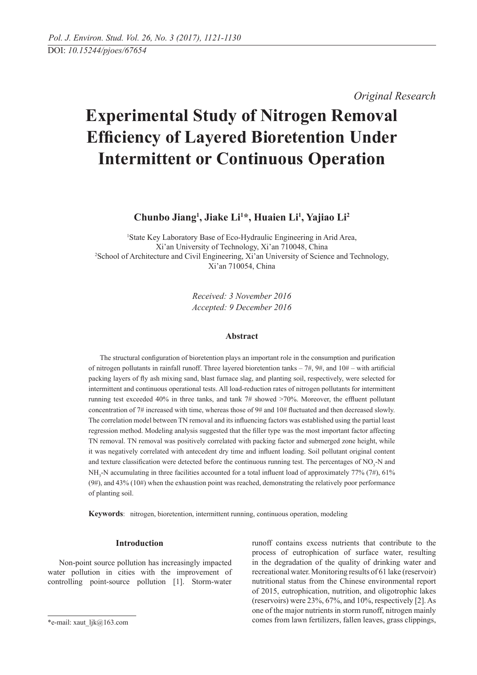*Original Research* 

# **Experimental Study of Nitrogen Removal Efficiency of Layered Bioretention Under Intermittent or Continuous Operation**

Chunbo Jiang<sup>1</sup>, Jiake Li<sup>1\*</sup>, Huaien Li<sup>1</sup>, Yajiao Li<sup>2</sup>

<sup>1</sup>State Key Laboratory Base of Eco-Hydraulic Engineering in Arid Area, Xi'an University of Technology, Xi'an 710048, China 2 <sup>2</sup>School of Architecture and Civil Engineering, Xi'an University of Science and Technology, Xi'an 710054, China

> *Received: 3 November 2016 Accepted: 9 December 2016*

# **Abstract**

The structural configuration of bioretention plays an important role in the consumption and purification of nitrogen pollutants in rainfall runoff. Three layered bioretention tanks  $-7\#$ ,  $9\#$ , and  $10\#$  – with artificial packing layers of fly ash mixing sand, blast furnace slag, and planting soil, respectively, were selected for intermittent and continuous operational tests. All load-reduction rates of nitrogen pollutants for intermittent running test exceeded 40% in three tanks, and tank 7# showed >70%. Moreover, the effluent pollutant concentration of 7# increased with time, whereas those of 9# and 10# fluctuated and then decreased slowly. The correlation model between TN removal and its influencing factors was established using the partial least regression method. Modeling analysis suggested that the filler type was the most important factor affecting TN removal. TN removal was positively correlated with packing factor and submerged zone height, while it was negatively correlated with antecedent dry time and influent loading. Soil pollutant original content and texture classification were detected before the continuous running test. The percentages of  $NO<sub>3</sub>$ -N and NH<sub>3</sub>-N accumulating in three facilities accounted for a total influent load of approximately 77% (7#), 61%  $(9#)$ , and 43%  $(10#)$  when the exhaustion point was reached, demonstrating the relatively poor performance of planting soil.

**Keywords**: nitrogen, bioretention, intermittent running, continuous operation, modeling

# **Introduction**

Non-point source pollution has increasingly impacted water pollution in cities with the improvement of controlling point-source pollution [1]. Storm-water

runoff contains excess nutrients that contribute to the process of eutrophication of surface water, resulting in the degradation of the quality of drinking water and recreational water. Monitoring results of 61 lake (reservoir) nutritional status from the Chinese environmental report of 2015, eutrophication, nutrition, and oligotrophic lakes (reservoirs) were 23%, 67%, and 10%, respectively [2]. As one of the major nutrients in storm runoff, nitrogen mainly comes from lawn fertilizers, fallen leaves, grass clippings,

<sup>\*</sup>e-mail: xaut\_ljk@163.com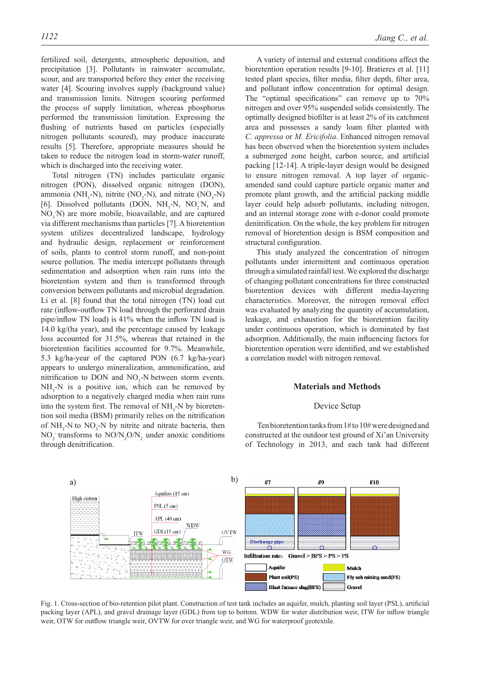fertilized soil, detergents, atmospheric deposition, and precipitation [3]. Pollutants in rainwater accumulate, scour, and are transported before they enter the receiving water [4]. Scouring involves supply (background value) and transmission limits. Nitrogen scouring performed the process of supply limitation, whereas phosphorus performed the transmission limitation. Expressing the flushing of nutrients based on particles (especially nitrogen pollutants scoured), may produce inaccurate results [5]. Therefore, appropriate measures should be taken to reduce the nitrogen load in storm-water runoff, which is discharged into the receiving water.

Total nitrogen (TN) includes particulate organic nitrogen (PON), dissolved organic nitrogen (DON), ammonia (NH<sub>3</sub>-N), nitrite (NO<sub>2</sub>-N), and nitrate (NO<sub>3</sub>-N) [6]. Dissolved pollutants (DON,  $NH_3-N$ ,  $NO_2N$ , and NO<sub>3</sub>N) are more mobile, bioavailable, and are captured via different mechanisms than particles [7]. A bioretention system utilizes decentralized landscape, hydrology and hydraulic design, replacement or reinforcement of soils, plants to control storm runoff, and non-point source pollution. The media intercept pollutants through sedimentation and adsorption when rain runs into the bioretention system and then is transformed through conversion between pollutants and microbial degradation. Li et al. [8] found that the total nitrogen (TN) load cut rate (inflow-outflow TN load through the perforated drain pipe/inflow TN load) is 41% when the inflow TN load is 14.0 kg/(ha year), and the percentage caused by leakage loss accounted for 31.5%, whereas that retained in the bioretention facilities accounted for 9.7%. Meanwhile, 5.3 kg/ha-year of the captured PON (6.7 kg/ha-year) appears to undergo mineralization, ammonification, and nitrification to DON and  $NO<sub>3</sub>$ -N between storm events.  $NH<sub>3</sub>-N$  is a positive ion, which can be removed by adsorption to a negatively charged media when rain runs into the system first. The removal of  $NH<sub>3</sub>$ -N by bioretention soil media (BSM) primarily relies on the nitrification of  $NH<sub>3</sub>$ -N to  $NO<sub>3</sub>$ -N by nitrite and nitrate bacteria, then  $NO_3$  transforms to  $NO/N_2O/N_2$  under anoxic conditions through denitrification.

A variety of internal and external conditions affect the bioretention operation results [9-10]. Bratieres et al. [11] tested plant species, filter media, filter depth, filter area, and pollutant inflow concentration for optimal design. The "optimal specifications" can remove up to  $70\%$ nitrogen and over 95% suspended solids consistently. The optimally designed biofilter is at least 2% of its catchment area and possesses a sandy loam filter planted with *C. appressa* or *M. Ericifolia*. Enhanced nitrogen removal has been observed when the bioretention system includes a submerged zone height, carbon source, and artificial packing [12-14]. A triple-layer design would be designed to ensure nitrogen removal. A top layer of organicamended sand could capture particle organic matter and promote plant growth, and the artificial packing middle layer could help adsorb pollutants, including nitrogen, and an internal storage zone with e-donor could promote denitrification. On the whole, the key problem for nitrogen removal of bioretention design is BSM composition and structural configuration.

This study analyzed the concentration of nitrogen pollutants under intermittent and continuous operation through a simulated rainfall test. We explored the discharge of changing pollutant concentrations for three constructed bioretention devices with different media-layering characteristics. Moreover, the nitrogen removal effect was evaluated by analyzing the quantity of accumulation, leakage, and exhaustion for the bioretention facility under continuous operation, which is dominated by fast adsorption. Additionally, the main influencing factors for bioretention operation were identified, and we established a correlation model with nitrogen removal.

#### **Materials and methods**

#### Device Setup

 Ten bioretention tanks from 1# to 10# were designed and constructed at the outdoor test ground of Xi'an University of Technology in 2013, and each tank had different



Fig. 1. Cross-section of bio-retention pilot plant. Construction of test tank includes an aquifer, mulch, planting soil layer (PSL), artificial packing layer (APL), and gravel drainage layer (GDL) from top to bottom. WDW for water distribution weir, ITW for inflow triangle weir, OTW for outflow triangle weir, OVTW for over triangle weir, and WG for waterproof geotextile.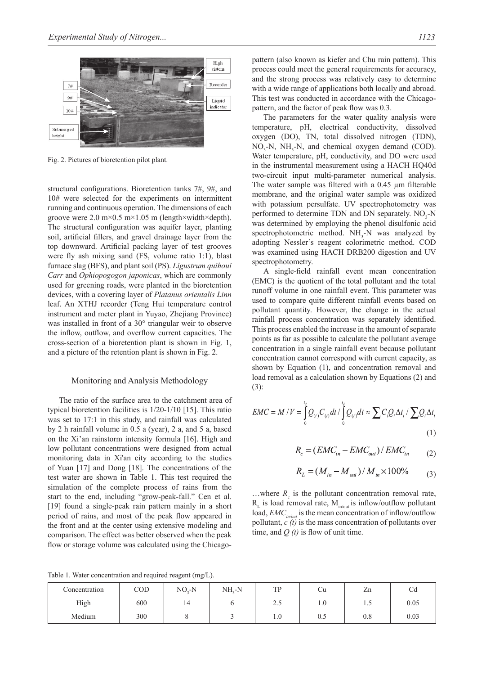

Fig. 2. Pictures of bioretention pilot plant.

structural configurations. Bioretention tanks 7#, 9#, and 10# were selected for the experiments on intermittent running and continuous operation. The dimensions of each groove were 2.0 m×0.5 m×1.05 m (length×width×depth). The structural configuration was aquifer layer, planting soil, artificial fillers, and gravel drainage layer from the top downward. Artificial packing layer of test grooves were fly ash mixing sand (FS, volume ratio 1:1), blast furnace slag (BFS), and plant soil (PS). *Ligustrum quihoui Carr* and *Ophiopogogon japonicas*, which are commonly used for greening roads, were planted in the bioretention devices, with a covering layer of *Platanus orientalis Linn* leaf. An XTHJ recorder (Teng Hui temperature control instrument and meter plant in Yuyao, Zhejiang Province) was installed in front of a 30° triangular weir to observe the inflow, outflow, and overflow current capacities. The cross-section of a bioretention plant is shown in Fig. 1, and a picture of the retention plant is shown in Fig. 2.

## Monitoring and Analysis Methodology

The ratio of the surface area to the catchment area of typical bioretention facilities is 1/20-1/10 [15]. This ratio was set to 17:1 in this study, and rainfall was calculated by 2 h rainfall volume in 0.5 a (year), 2 a, and 5 a, based on the Xi'an rainstorm intensity formula [16]. High and low pollutant concentrations were designed from actual monitoring data in Xi'an city according to the studies of Yuan [17] and Dong [18]. The concentrations of the test water are shown in Table 1. This test required the simulation of the complete process of rains from the start to the end, including "grow-peak-fall." Cen et al. [19] found a single-peak rain pattern mainly in a short period of rains, and most of the peak flow appeared in the front and at the center using extensive modeling and comparison. The effect was better observed when the peak flow or storage volume was calculated using the Chicagopattern (also known as kiefer and Chu rain pattern). This process could meet the general requirements for accuracy, and the strong process was relatively easy to determine with a wide range of applications both locally and abroad. This test was conducted in accordance with the Chicagopattern, and the factor of peak flow was 0.3.

The parameters for the water quality analysis were temperature, pH, electrical conductivity, dissolved oxygen (DO), TN, total dissolved nitrogen (TDN),  $NO_3$ -N, NH<sub>3</sub>-N, and chemical oxygen demand (COD). Water temperature, pH, conductivity, and DO were used in the instrumental measurement using a HACH HQ40d two-circuit input multi-parameter numerical analysis. The water sample was filtered with a 0.45 µm filterable membrane, and the original water sample was oxidized with potassium persulfate. UV spectrophotometry was performed to determine TDN and DN separately.  $NO<sub>3</sub>-N$ was determined by employing the phenol disulfonic acid spectrophotometric method.  $NH<sub>3</sub>-N$  was analyzed by adopting Nessler's reagent colorimetric method. COD was examined using HACH DRB200 digestion and UV spectrophotometry.

A single-field rainfall event mean concentration (EMC) is the quotient of the total pollutant and the total runoff volume in one rainfall event. This parameter was used to compare quite different rainfall events based on pollutant quantity. However, the change in the actual rainfall process concentration was separately identified. This process enabled the increase in the amount of separate points as far as possible to calculate the pollutant average concentration in a single rainfall event because pollutant concentration cannot correspond with current capacity, as shown by Equation (1), and concentration removal and load removal as a calculation shown by Equations (2) and (3):

$$
EMC = M / V = \int_{0}^{t_d} Q_{(t)} C_{(t)} dt / \int_{0}^{t_d} Q_{(t)} dt \approx \sum C_i Q_i \Delta t_i / \sum Q_i \Delta t_i
$$
\n(1)

$$
R_c = (EMC_{in} - EMC_{out}) / EMC_{in} \tag{2}
$$

$$
R_L = (M_{in} - M_{out}) / M_{in} \times 100\% \tag{3}
$$

 $\dots$ where  $R_c$  is the pollutant concentration removal rate,  $R_{L}$  is load removal rate,  $M_{in/out}$  is inflow/outflow pollutant load, *EMC*<sub>in/out</sub> is the mean concentration of inflow/outflow pollutant,  $c(t)$  is the mass concentration of pollutants over time, and  $O(t)$  is flow of unit time.

Table 1. Water concentration and required reagent (mg/L).

| Concentration | COD | $NO2-N$ | NH <sub>2</sub> -N | TP                       | Ψu  | Zn            | Cd   |
|---------------|-----|---------|--------------------|--------------------------|-----|---------------|------|
| High          | 600 | 14      |                    | $\cap$ $\subset$<br>ن کے | 1.U | $\cdot \cdot$ | 0.05 |
| Medium        | 300 |         |                    | 1.0                      | v.J | റ റ<br>U.8    | 0.03 |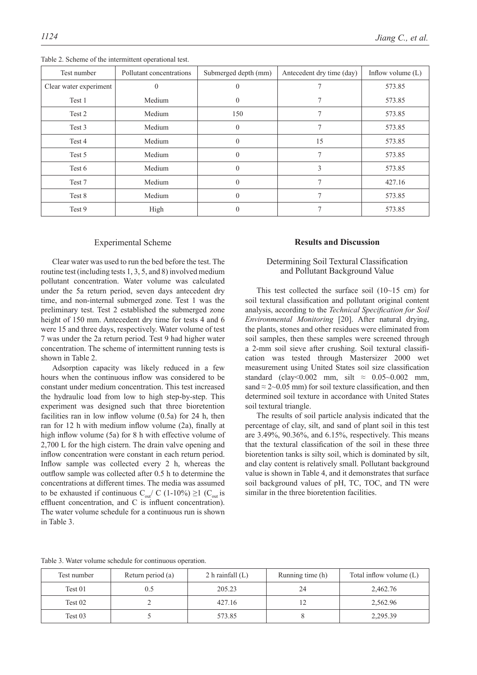| Test number            | Pollutant concentrations | Submerged depth (mm) | Antecedent dry time (day) | Inflow volume $(L)$ |
|------------------------|--------------------------|----------------------|---------------------------|---------------------|
| Clear water experiment |                          |                      |                           | 573.85              |
| Test 1                 | Medium                   |                      |                           | 573.85              |
| Test 2                 | Medium                   | 150                  | 7                         | 573.85              |
| Test 3                 | Medium                   | $\theta$             | $\tau$                    | 573.85              |
| Test 4                 | Medium                   | 0                    | 15                        | 573.85              |
| Test 5                 | Medium                   | $\theta$             | 7                         | 573.85              |
| Test 6                 | Medium                   | $\Omega$             | 3                         | 573.85              |
| Test 7                 | Medium                   | 0                    | $\mathcal{I}$             | 427.16              |
| Test 8                 | Medium                   | $\theta$             | $\tau$                    | 573.85              |
| Test 9                 | High                     | 0                    | $\mathcal{I}$             | 573.85              |

Table 2. Scheme of the intermittent operational test.

#### Experimental Scheme

Clear water was used to run the bed before the test. The routine test (including tests 1, 3, 5, and 8) involved medium pollutant concentration. Water volume was calculated under the 5a return period, seven days antecedent dry time, and non-internal submerged zone. Test 1 was the preliminary test. Test 2 established the submerged zone height of 150 mm. Antecedent dry time for tests 4 and 6 were 15 and three days, respectively. Water volume of test 7 was under the 2a return period. Test 9 had higher water concentration. The scheme of intermittent running tests is shown in Table 2.

Adsorption capacity was likely reduced in a few hours when the continuous inflow was considered to be constant under medium concentration. This test increased the hydraulic load from low to high step-by-step. This experiment was designed such that three bioretention facilities ran in low inflow volume (0.5a) for 24 h, then ran for 12 h with medium inflow volume (2a), finally at high inflow volume (5a) for 8 h with effective volume of 2,700 L for the high cistern. The drain valve opening and inflow concentration were constant in each return period. Inflow sample was collected every 2 h, whereas the outflow sample was collected after 0.5 h to determine the concentrations at different times. The media was assumed to be exhausted if continuous  $C_{\text{out}}/C$  (1-10%) ≥1 ( $C_{\text{out}}$  is effluent concentration, and C is influent concentration). The water volume schedule for a continuous run is shown in Table 3.

## **Results and Discussion**

# Determining Soil Textural Classification and pollutant background value

This test collected the surface soil  $(10~15~cm)$  for soil textural classification and pollutant original content analysis, according to the *Technical Specification for Soil Environmental Monitoring* [20]. After natural drying, the plants, stones and other residues were eliminated from soil samples, then these samples were screened through a 2-mm soil sieve after crushing. Soil textural classification was tested through Mastersizer 2000 wet measurement using United States soil size classification standard (clay<0.002 mm, silt  $\approx 0.05 \sim 0.002$  mm, sand  $\approx$  2~0.05 mm) for soil texture classification, and then determined soil texture in accordance with United States soil textural triangle.

The results of soil particle analysis indicated that the percentage of clay, silt, and sand of plant soil in this test are 3.49%, 90.36%, and 6.15%, respectively. This means that the textural classification of the soil in these three bioretention tanks is silty soil, which is dominated by silt, and clay content is relatively small. Pollutant background value is shown in Table 4, and it demonstrates that surface soil background values of pH, TC, TOC, and TN were similar in the three bioretention facilities.

Table 3. Water volume schedule for continuous operation.

| Test number | Return period (a) | 2 h rainfall $(L)$ | Running time (h) | Total inflow volume (L) |  |
|-------------|-------------------|--------------------|------------------|-------------------------|--|
| Test 01     |                   | 205.23             | 24               | 2,462.76                |  |
| Test 02     |                   | 427.16             |                  | 2,562.96                |  |
| Test 03     |                   | 573.85             |                  | 2,295.39                |  |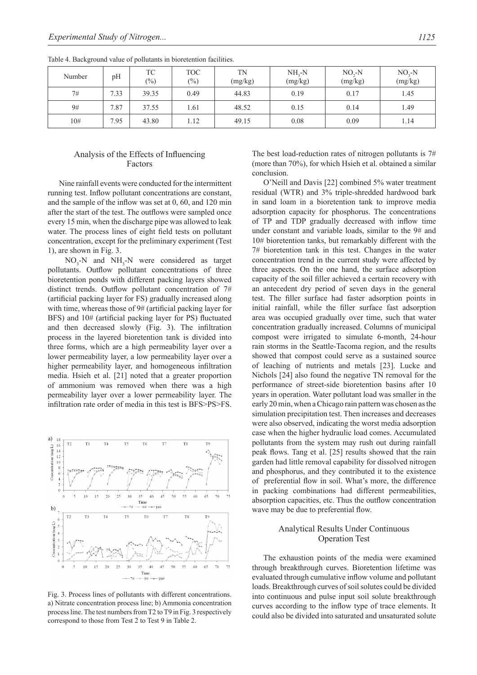| Number | pH                  | ТC<br>$\frac{(0)}{0}$ | <b>TOC</b><br>$\frac{6}{2}$ | <b>TN</b><br>(mg/kg) | $NH, -N$<br>(mg/kg) | $NOz-N$<br>(mg/kg) | $NO - N$<br>(mg/kg) |
|--------|---------------------|-----------------------|-----------------------------|----------------------|---------------------|--------------------|---------------------|
| 7#     | 1.33<br>⇁           | 39.35                 | 0.49                        | 44.83                | 0.19                | 0.17               | 1.45                |
| 9#     | .87<br>$\mathbf{r}$ | 37.55                 | 1.61                        | 48.52                | 0.15                | 0.14               | 1.49                |
| 10#    | .95<br>−            | 43.80                 | 1.12                        | 49.15                | 0.08                | 0.09               | 1.14                |

Table 4. Background value of pollutants in bioretention facilities.

# Analysis of the effects of influencing **Factors**

Nine rainfall events were conducted for the intermittent running test. Inflow pollutant concentrations are constant, and the sample of the inflow was set at 0, 60, and 120 min after the start of the test. The outflows were sampled once every 15 min, when the discharge pipe was allowed to leak water. The process lines of eight field tests on pollutant concentration, except for the preliminary experiment (Test 1), are shown in Fig. 3.

 $NO_3$ -N and  $NH_3$ -N were considered as target pollutants. Outflow pollutant concentrations of three bioretention ponds with different packing layers showed distinct trends. Outflow pollutant concentration of 7# (artificial packing layer for FS) gradually increased along with time, whereas those of 9# (artificial packing layer for BFS) and 10# (artificial packing layer for PS) fluctuated and then decreased slowly (Fig. 3). The infiltration process in the layered bioretention tank is divided into three forms, which are a high permeability layer over a lower permeability layer, a low permeability layer over a higher permeability layer, and homogeneous infiltration media. Hsieh et al. [21] noted that a greater proportion of ammonium was removed when there was a high permeability layer over a lower permeability layer. The infiltration rate order of media in this test is BFS>PS>FS.



Fig. 3. Process lines of pollutants with different concentrations. a) Nitrate concentration process line; b) Ammonia concentration process line. The test numbers from T2 to T9 in Fig. 3 respectively correspond to those from Test 2 to Test 9 in Table 2.

The best load-reduction rates of nitrogen pollutants is 7# (more than 70%), for which Hsieh et al. obtained a similar conclusion.

O'Neill and Davis [22] combined 5% water treatment residual (WTR) and 3% triple-shredded hardwood bark in sand loam in a bioretention tank to improve media adsorption capacity for phosphorus. The concentrations of TP and TDP gradually decreased with inflow time under constant and variable loads, similar to the 9# and 10# bioretention tanks, but remarkably different with the 7# bioretention tank in this test. Changes in the water concentration trend in the current study were affected by three aspects. On the one hand, the surface adsorption capacity of the soil filler achieved a certain recovery with an antecedent dry period of seven days in the general test. The filler surface had faster adsorption points in initial rainfall, while the filler surface fast adsorption area was occupied gradually over time, such that water concentration gradually increased. Columns of municipal compost were irrigated to simulate 6-month, 24-hour rain storms in the Seattle-Tacoma region, and the results showed that compost could serve as a sustained source of leaching of nutrients and metals [23]. Lucke and Nichols [24] also found the negative TN removal for the performance of street-side bioretention basins after 10 years in operation. Water pollutant load was smaller in the early 20 min, when a Chicago rain pattern was chosen as the simulation precipitation test. Then increases and decreases were also observed, indicating the worst media adsorption case when the higher hydraulic load comes. Accumulated pollutants from the system may rush out during rainfall peak flows. Tang et al. [25] results showed that the rain garden had little removal capability for dissolved nitrogen and phosphorus, and they contributed it to the existence of preferential flow in soil. What's more, the difference in packing combinations had different permeabilities, absorption capacities, etc. Thus the outflow concentration wave may be due to preferential flow.

# Analytical Results Under Continuous **Operation Test**

The exhaustion points of the media were examined through breakthrough curves. Bioretention lifetime was evaluated through cumulative inflow volume and pollutant loads. Breakthrough curves of soil solutes could be divided into continuous and pulse input soil solute breakthrough curves according to the inflow type of trace elements. It could also be divided into saturated and unsaturated solute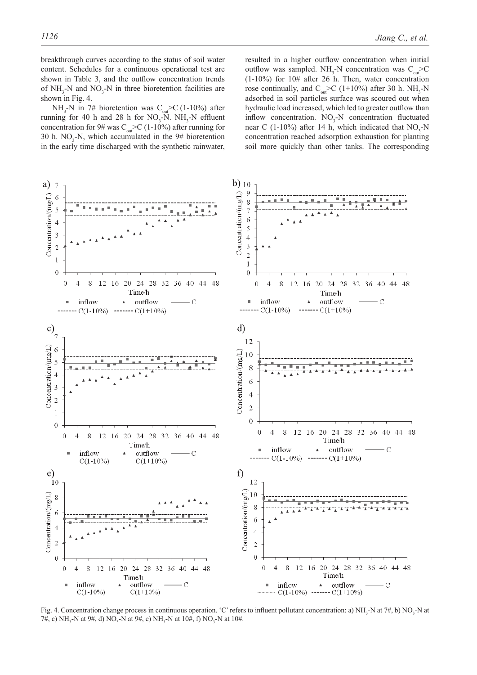breakthrough curves according to the status of soil water content. Schedules for a continuous operational test are shown in Table 3, and the outflow concentration trends of  $NH<sub>3</sub>-N$  and  $NO<sub>3</sub>-N$  in three bioretention facilities are shown in Fig. 4.

NH<sub>3</sub>-N in 7# bioretention was  $C_{out}$  >C (1-10%) after running for 40 h and 28 h for  $NO_3$ -N.  $NH_3$ -N effluent concentration for 9# was  $C_{\text{out}}$ >C (1-10%) after running for 30 h.  $NO_3$ -N, which accumulated in the 9# bioretention in the early time discharged with the synthetic rainwater,

resulted in a higher outflow concentration when initial outflow was sampled.  $NH_3$ -N concentration was  $C_{out}$ >C (1-10%) for 10# after 26 h. Then, water concentration rose continually, and  $C_{out}$  >C (1+10%) after 30 h. NH<sub>3</sub>-N adsorbed in soil particles surface was scoured out when hydraulic load increased, which led to greater outflow than inflow concentration.  $NO<sub>3</sub>-N$  concentration fluctuated near C (1-10%) after 14 h, which indicated that  $NO<sub>3</sub>-N$ concentration reached adsorption exhaustion for planting soil more quickly than other tanks. The corresponding



Fig. 4. Concentration change process in continuous operation. 'C' refers to influent pollutant concentration: a)  $NH_3$ -N at  $7\#$ , b)  $NO_3$ -N at 7#, c) NH<sub>3</sub>-N at 9#, d) NO<sub>3</sub>-N at 9#, e) NH<sub>3</sub>-N at 10#, f) NO<sub>3</sub>-N at 10#.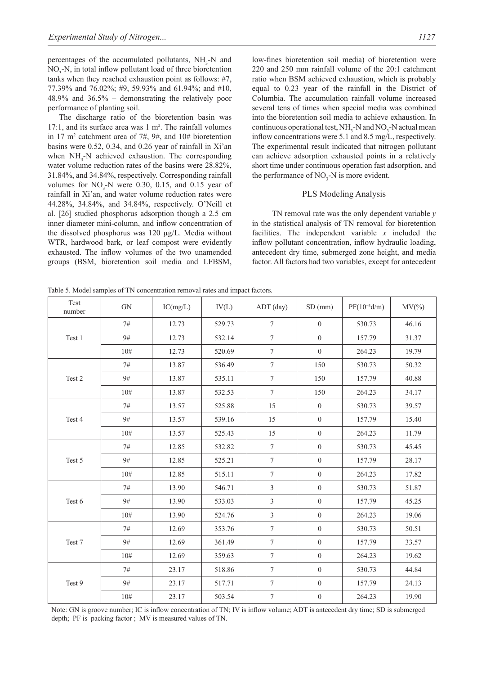percentages of the accumulated pollutants,  $NH<sub>3</sub>-N$  and  $NO<sub>3</sub>$ -N, in total inflow pollutant load of three bioretention tanks when they reached exhaustion point as follows: #7, 77.39% and 76.02%; #9, 59.93% and 61.94%; and #10, 48.9% and 36.5% – demonstrating the relatively poor performance of planting soil.

The discharge ratio of the bioretention basin was 17:1, and its surface area was  $1 \text{ m}^2$ . The rainfall volumes in 17 m2 catchment area of 7#, 9#, and 10# bioretention basins were 0.52, 0.34, and 0.26 year of rainfall in Xi'an when  $NH<sub>3</sub>$ -N achieved exhaustion. The corresponding water volume reduction rates of the basins were 28.82%, 31.84%, and 34.84%, respectively. Corresponding rainfall volumes for  $NO_3$ -N were 0.30, 0.15, and 0.15 year of rainfall in Xi'an, and water volume reduction rates were 44.28%, 34.84%, and 34.84%, respectively. O'Neill et al. [26] studied phosphorus adsorption though a 2.5 cm inner diameter mini-column, and inflow concentration of the dissolved phosphorus was 120 µg/L. Media without WTR, hardwood bark, or leaf compost were evidently exhausted. The inflow volumes of the two unamended groups (BSM, bioretention soil media and LFBSM,

low-fines bioretention soil media) of bioretention were 220 and 250 mm rainfall volume of the 20:1 catchment ratio when BSM achieved exhaustion, which is probably equal to 0.23 year of the rainfall in the District of Columbia. The accumulation rainfall volume increased several tens of times when special media was combined into the bioretention soil media to achieve exhaustion. In continuous operational test,  $NH_3$ -N and  $NO_3$ -N actual mean inflow concentrations were 5.1 and 8.5 mg/L, respectively. The experimental result indicated that nitrogen pollutant can achieve adsorption exhausted points in a relatively short time under continuous operation fast adsorption, and the performance of  $NO_3$ -N is more evident.

### PLS Modeling Analysis

 TN removal rate was the only dependent variable *y* in the statistical analysis of TN removal for bioretention facilities. The independent variable *x* included the inflow pollutant concentration, inflow hydraulic loading, antecedent dry time, submerged zone height, and media factor. All factors had two variables, except for antecedent

Table 5. Model samples of TN concentration removal rates and impact factors.

| Test<br>number | <b>GN</b> | IC(mg/L) | IV(L)  | ADT (day)        | SD(mm)           | $PF(10^{-3}d/m)$ | $MV(\% )$ |
|----------------|-----------|----------|--------|------------------|------------------|------------------|-----------|
| Test 1         | 7#        | 12.73    | 529.73 | $\boldsymbol{7}$ | $\boldsymbol{0}$ | 530.73           | 46.16     |
|                | 9#        | 12.73    | 532.14 | $\boldsymbol{7}$ | $\boldsymbol{0}$ | 157.79           | 31.37     |
|                | 10#       | 12.73    | 520.69 | $\tau$           | $\mathbf{0}$     | 264.23           | 19.79     |
|                | 7#        | 13.87    | 536.49 | $\tau$           | 150              | 530.73           | 50.32     |
| Test 2         | 9#        | 13.87    | 535.11 | $\boldsymbol{7}$ | 150              | 157.79           | 40.88     |
|                | 10#       | 13.87    | 532.53 | $\tau$           | 150              | 264.23           | 34.17     |
|                | 7#        | 13.57    | 525.88 | 15               | $\boldsymbol{0}$ | 530.73           | 39.57     |
| Test 4         | 9#        | 13.57    | 539.16 | 15               | $\boldsymbol{0}$ | 157.79           | 15.40     |
|                | 10#       | 13.57    | 525.43 | 15               | $\boldsymbol{0}$ | 264.23           | 11.79     |
|                | 7#        | 12.85    | 532.82 | $\overline{7}$   | $\boldsymbol{0}$ | 530.73           | 45.45     |
| Test 5         | 9#        | 12.85    | 525.21 | $\boldsymbol{7}$ | $\boldsymbol{0}$ | 157.79           | 28.17     |
|                | 10#       | 12.85    | 515.11 | $\tau$           | $\boldsymbol{0}$ | 264.23           | 17.82     |
|                | 7#        | 13.90    | 546.71 | 3                | $\mathbf{0}$     | 530.73           | 51.87     |
| Test 6         | 9#        | 13.90    | 533.03 | 3                | $\boldsymbol{0}$ | 157.79           | 45.25     |
|                | 10#       | 13.90    | 524.76 | 3                | $\boldsymbol{0}$ | 264.23           | 19.06     |
|                | 7#        | 12.69    | 353.76 | $\tau$           | $\boldsymbol{0}$ | 530.73           | 50.51     |
| Test 7         | 9#        | 12.69    | 361.49 | $\tau$           | $\boldsymbol{0}$ | 157.79           | 33.57     |
|                | 10#       | 12.69    | 359.63 | $\tau$           | $\boldsymbol{0}$ | 264.23           | 19.62     |
|                | 7#        | 23.17    | 518.86 | $\boldsymbol{7}$ | $\boldsymbol{0}$ | 530.73           | 44.84     |
| Test 9         | 9#        | 23.17    | 517.71 | $\boldsymbol{7}$ | $\boldsymbol{0}$ | 157.79           | 24.13     |
|                | 10#       | 23.17    | 503.54 | $\boldsymbol{7}$ | $\boldsymbol{0}$ | 264.23           | 19.90     |

Note: GN is groove number; IC is inflow concentration of TN; IV is inflow volume; ADT is antecedent dry time; SD is submerged depth; PF is packing factor ; MV is measured values of TN.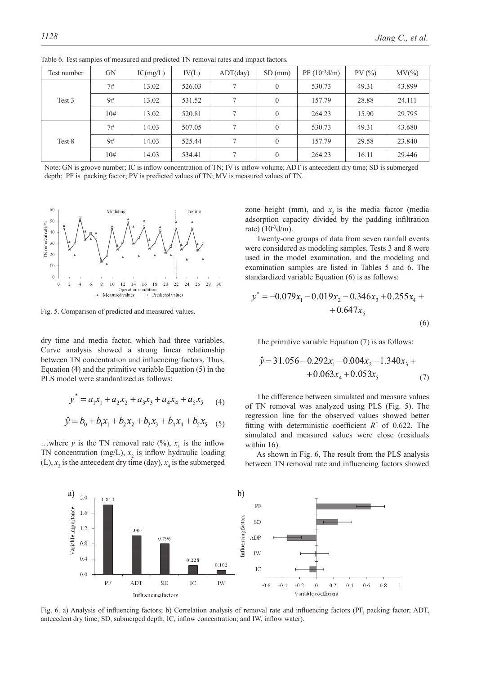| Test number | <b>GN</b> | IC(mg/L) | IV(L)  | $ADT$ (day) | SD(mm)       | $PF(10^{-3}d/m)$ | PV(%) | $MV(\% )$ |
|-------------|-----------|----------|--------|-------------|--------------|------------------|-------|-----------|
| Test 3      | 7#        | 13.02    | 526.03 | $\tau$      | $\mathbf{0}$ | 530.73           | 49.31 | 43.899    |
|             | 9#        | 13.02    | 531.52 | $\tau$      | $\mathbf{0}$ | 157.79           | 28.88 | 24.111    |
|             | 10#       | 13.02    | 520.81 | $\tau$      | $\theta$     | 264.23           | 15.90 | 29.795    |
| Test 8      | 7#        | 14.03    | 507.05 | $\tau$      |              | 530.73           | 49.31 | 43.680    |
|             | 9#        | 14.03    | 525.44 | 7           | $\mathbf{0}$ | 157.79           | 29.58 | 23.840    |
|             | 10#       | 14.03    | 534.41 | $\tau$      | $\theta$     | 264.23           | 16.11 | 29.446    |

Table 6. Test samples of measured and predicted TN removal rates and impact factors.

Note: GN is groove number; IC is inflow concentration of TN; IV is inflow volume; ADT is antecedent dry time; SD is submerged depth; PF is packing factor; PV is predicted values of TN; MV is measured values of TN.



Fig. 5. Comparison of predicted and measured values.

dry time and media factor, which had three variables. Curve analysis showed a strong linear relationship between TN concentration and influencing factors. Thus, Equation (4) and the primitive variable Equation (5) in the PLS model were standardized as follows:

$$
y^* = a_1 x_1 + a_2 x_2 + a_3 x_3 + a_4 x_4 + a_5 x_5 \tag{4}
$$

$$
\hat{y} = b_0 + b_1 x_1 + b_2 x_2 + b_3 x_3 + b_4 x_4 + b_5 x_5
$$
 (5)

...where *y* is the TN removal rate  $(\%)$ ,  $x_1$  is the inflow TN concentration (mg/L),  $x_2$  is inflow hydraulic loading (L),  $x_3$  is the antecedent dry time (day),  $x_4$  is the submerged zone height (mm), and  $x<sub>5</sub>$  is the media factor (media adsorption capacity divided by the padding infiltration rate)  $(10^{-3}d/m)$ .

Twenty-one groups of data from seven rainfall events were considered as modeling samples. Tests 3 and 8 were used in the model examination, and the modeling and examination samples are listed in Tables 5 and 6. The standardized variable Equation (6) is as follows:

$$
y^* = -0.079x_1 - 0.019x_2 - 0.346x_3 + 0.255x_4 + 0.647x_5
$$
\n
$$
(6)
$$

The primitive variable Equation (7) is as follows:

$$
\hat{y} = 31.056 - 0.292x_1 - 0.004x_2 - 1.340x_3 + 0.063x_4 + 0.053x_5
$$
\n(7)

The difference between simulated and measure values of TN removal was analyzed using PLS (Fig. 5). The regression line for the observed values showed better fitting with deterministic coefficient  $R^2$  of 0.622. The simulated and measured values were close (residuals within 16).

As shown in Fig. 6, The result from the PLS analysis between TN removal rate and influencing factors showed



Fig. 6. a) Analysis of influencing factors; b) Correlation analysis of removal rate and influencing factors (PF, packing factor; ADT, antecedent dry time; SD, submerged depth; IC, inflow concentration; and IW, inflow water).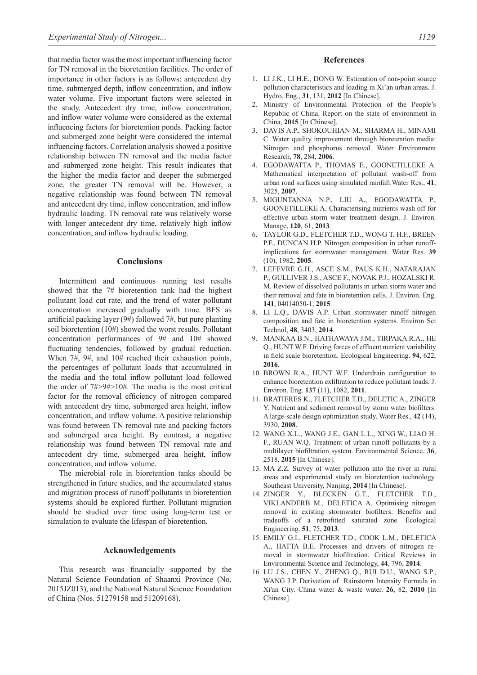that media factor was the most important influencing factor for TN removal in the bioretention facilities. The order of importance in other factors is as follows: antecedent dry time, submerged depth, inflow concentration, and inflow water volume. Five important factors were selected in the study. Antecedent dry time, inflow concentration, and inflow water volume were considered as the external influencing factors for bioretention ponds. Packing factor and submerged zone height were considered the internal influencing factors. Correlation analysis showed a positive relationship between TN removal and the media factor and submerged zone height. This result indicates that the higher the media factor and deeper the submerged zone, the greater TN removal will be. However, a negative relationship was found between TN removal and antecedent dry time, inflow concentration, and inflow hydraulic loading. TN removal rate was relatively worse with longer antecedent dry time, relatively high inflow concentration, and inflow hydraulic loading.

## **Conclusions**

Intermittent and continuous running test results showed that the 7# bioretention tank had the highest pollutant load cut rate, and the trend of water pollutant concentration increased gradually with time. BFS as artificial packing layer (9#) followed 7#, but pure planting soil bioretention (10#) showed the worst results. Pollutant concentration performances of 9# and 10# showed fluctuating tendencies, followed by gradual reduction. When 7#, 9#, and 10# reached their exhaustion points, the percentages of pollutant loads that accumulated in the media and the total inflow pollutant load followed the order of 7#>9#>10#. The media is the most critical factor for the removal efficiency of nitrogen compared with antecedent dry time, submerged area height, inflow concentration, and inflow volume. A positive relationship was found between TN removal rate and packing factors and submerged area height. By contrast, a negative relationship was found between TN removal rate and antecedent dry time, submerged area height, inflow concentration, and inflow volume.

The microbial role in bioretention tanks should be strengthened in future studies, and the accumulated status and migration process of runoff pollutants in bioretention systems should be explored further. Pollutant migration should be studied over time using long-term test or simulation to evaluate the lifespan of bioretention.

#### **Acknowledgements**

This research was financially supported by the Natural Science Foundation of Shaanxi Province (No. 2015JZ013), and the National Natural Science Foundation of China (Nos. 51279158 and 51209168).

#### **References**

- 1. LI J.K., LI H.E., DONG W. Estimation of non-point source pollution characteristics and loading in Xi'an urban areas. J. Hydro. Eng., **31**, 131, **2012** [in Chinese].
- 2. Ministry of Environmental Protection of the People's Republic of China. Report on the state of environment in China, **2015** [in Chinese].
- 3. DAVIS A.P., SHOKOUHIAN M., SHARMA H., MINAMI C. Water quality improvement through bioretention media: Nitrogen and phosphorus removal. Water Environment Research, **78**, 284, **2006**.
- 4. EGODAWATTA P., THOMAS E., GOONETILLEKE A. Mathematical interpretation of pollutant wash-off from urban road surfaces using simulated rainfall.Water Res., **41**, 3025, **2007**.
- 5. MIGUNTANNA N.P., LIU A., EGODAWATTA P., GOONETILLEKE A. Characterising nutrients wash off for effective urban storm water treatment design. J. Environ. Manage, **120**, 61, **2013**.
- 6. TAYLOR G.D., FLETCHER T.D., WONG T. H.F., BREEN P.F., DUNCAN H.P. Nitrogen composition in urban runoffimplications for stormwater management. Water Res. **39**  (10), 1982, **2005**.
- 7. LEFEVRE G.H., ASCE S.M., PAUS K.H., NATARAJAN P., GULLIVER J.S., ASCE F., NOVAK P.J., HOZALSKI R. M. Review of dissolved pollutants in urban storm water and their removal and fate in bioretention cells. J. Environ. Eng. **141**, 04014050-1, **2015**.
- 8. LI L.Q., DAVIS A.P. Urban stormwater runoff nitrogen composition and fate in bioretention systems. Environ Sci Technol, **48**, 3403, **2014**.
- 9. MANKAA B.N., HATHAWAYA J.M., TIRPAKA R.A., HE Q., HUNT W.F. Driving forces of effluent nutrient variability in field scale bioretention. Ecological Engineering. **94**, 622, **2016**.
- 10. BROWN R.A., HUNT W.F. Underdrain configuration to enhance bioretention exfiltration to reduce pollutant loads. J. Environ. Eng. **137** (11), 1082, **2011**.
- 11. BRATIERES K., FLETCHER T.D., DELETIC A., ZINGER Y. Nutrient and sediment removal by storm water biofilters: A large-scale design optimization study. Water Res., **42** (14), 3930, **2008**.
- 12. WANG X.L., WANG J.E., GAN L.L., XING W., LIAO H. F., RUAN W.Q. Treatment of urban runoff pollutants by a multilayer biofiltration system. Environmental Science, **36**, 2518, **2015** [in Chinese].
- 13. MA Z.Z. Survey of water pollution into the river in rural areas and experimental study on bioretention technology. Southeast University, Nanjing, **2014** [in Chinese].
- 14. ZINGER Y., BLECKEN G.T., FLETCHER T.D., VIKLANDERB M., DELETICA A. Optimising nitrogen removal in existing stormwater biofilters: Benefits and tradeoffs of a retrofitted saturated zone. Ecological Engineering. **51**, 75, **2013**.
- 15. EMILY G.I., FLETCHER T.D., COOK L.M., DELETICA A., HATTA B.E. Processes and drivers of nitrogen removal in stormwater biofiltration. Critical Reviews in Environmental Science and Technology, **44**, 796, **2014**.
- 16. LU J.S., CHEN Y., ZHENG Q., RUI D.U., WANG S.P., WANG J.P. Derivation of Rainstorm Intensity Formula in Xi'an City. China water & waste water. **26**, 82, **2010** [in Chinese].